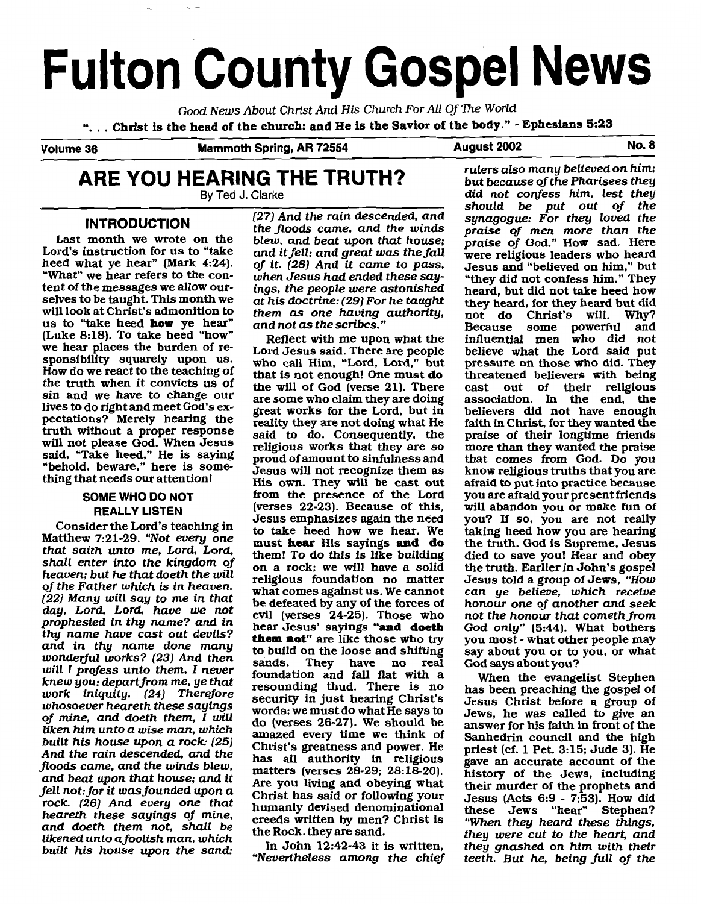# **Fulton County Gospel News**

Good News About Christ And His Church For AU Of The World

"... Christ is the head of the church: and He is the Savior of the body." - Ephesians 5:23

**Volume** 36 **Mammoth Spring, AR 72554 August 2002 No. 8** 

will look at Christ's admonition to them as one having authority, not do Christ's will. Why?<br>us to "take heed **how** ye hear" and not as the scribes." Because some powerful and<br>(Luke 8:18). To take heed "how" pettect with m sin and we have to change our are some who claim they are doing lives to do right and meet God's ex-<br>great works for the Lord, but in

day, Lord, Lord, have we not<br>prophesied in thy name? and in hear Jesus' sayings **"and doeth**<br>thy name have cast out devils? **them not**" are like those who two rock. (26) And every one that humanly devised denominational these Jews (Acts 0.3 - 1.95). How did<br>heareth these sayings of mine, creeds written by men? Christ is "When they heard these things,<br>and doeth them not, shall be

we hear places the burden of re-<br>sponsibility squarely upon us. who call Him, "Lord, Lord," but pressure on those who did. They<br>How do we react to the teaching of the is not enough! One must do threatened believers with be How do we react to the teaching of that is not enough! One must **do** threatened believers with being the truth when it convicts us of the will of God (verse 21) There cast out of their religious the truth when it convicts us of the will of God (verse 21). There cast out of their religious sin and we have to change our are some who claim they are doing association. In the end, the lives to do right and meet wou's ex-<br>pectations? Merely hearing the reality they are not doing what He faith in Christ, for they wanted the<br>truth without a proper response said to do. Consequently, the praise of their lon truth without a proper response said to do. Consequently, the praise of their longtime friends will not please God. When Jesus religious works that they are so more than they wanted the praise will not please God. When Jesus<br>said, "Take heed," He is saying<br>"behold, beware," here is some-<br>thing that needs our attention! His own. They will be cast out a fraid to put into practice because SOME WHO DO NOT **His own.** They will be cast out afraid to put into practice because<br>SOME WHO DO NOT from the presence of the Lord you are afraid your present friends<br>DEALLY LISTEN (VETEN) (VETSES 22-23). Because of this, **REALLY LISTEN** (verses 22-23). Because of this, will abandon you or make fun of <br>desus emphasizes again the need you? If so, you are not really Consider the Lord's teaching in<br>Matthew 7:21-29. "Not every one must **hear** His sayings **and** do<br>that saith unto me, Lord, Lord, Lord, them! To do this is like building<br>shall enter into the kingdom of on a rock; we will ha (22) Many will say to me in that be defeated by any of the forces of honour one of another and seek day, Lord, have we not evil (verses 24-25). Those who not the honour that cometh from prophesied in thy name? and in hear propnesied in thy name? and in<br>thy name have cast out devils?<br>and in thy name done many to build on the loose and shifting say about you or to you, or what<br>wonderful works? (23) And then sands They have no real God says ab wonderful works? (23) And then<br>will I profess unto them, I never<br>knew you: depart from me, ye that<br>resounding thud. There is no has been preaching the gospel of<br>work, injquity, (24) Therefore whosoever heareth these sayings<br>whosoever heareth these sayings<br>of mine, and doeth them, I will<br>do (verses 26-27). We should be<br>liken him unto a wise man, which<br>built his house upon a rock: (25)<br>built his house upon a roc built his house upon a rock: (25)<br>And the rain descended, and the<br>floods came, and the winds blew,<br>and beat upon that house; and it<br>fell not: for it was founded upon a<br>fell not: for it was founded upon a<br>fell not: for it w

**ARE YOU HEARING THE TRUTH?** *rulers also many believed on him;*<br>By Ted J. Clarke *By Ted J. Clarke By Ted J. Clarke* but because of the Pharisees they **By Ted** J. **Clarke** did not coMess him, lest they should be put out of the **INTRODUCTION** (27) And the rain descended, and synagogue: For they loved the the floods came, and the winds praise of men more than the INIRODUCTION<br>
Last month we wrote on the blew, and beat upon that house;<br>
Lord's instruction for us to "take and it fell: and great was the fall<br>
leaders who heard<br>
heed what ye hear" (Mark 4:24). of it. (28) And it came (d not as the scribes."<br>
Reflect with me upon what the influential men who did not

In John Hot, they are sand. They were cut to the heart, and<br>Itkened unto a foolish man, which in John 12:42-43 it is written, they gnashed on him with their<br>built his house upon the sand: "Nevertheless among the chief teet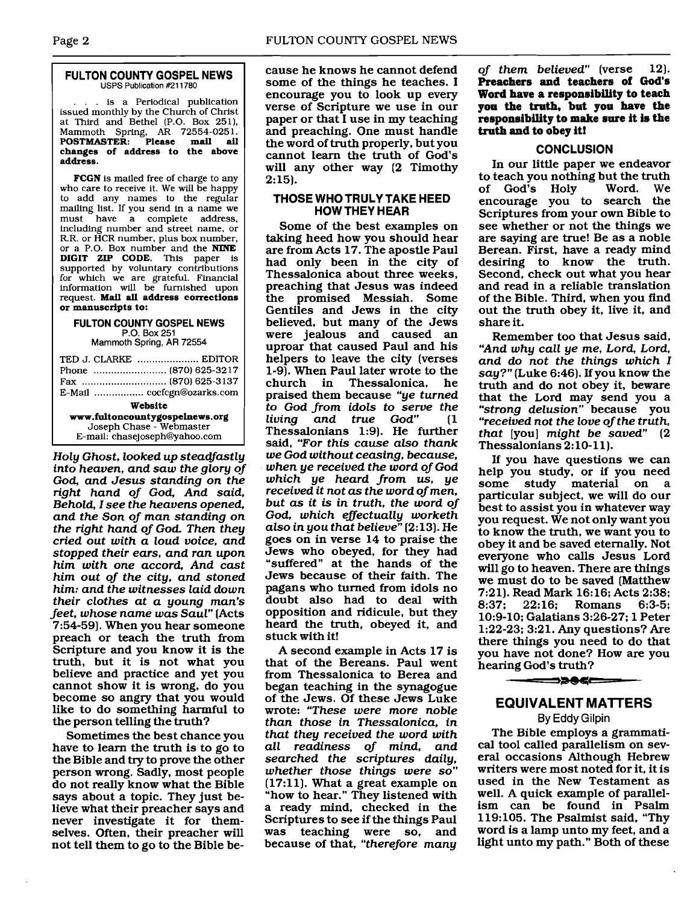### **FULTON COUNTY GOSPEL NEWS USPS Publication #211780**

... is a Periodical publication issued monthly by the Church of Christ at Third and Bethel (P.O. Box 251), Mammoth Spring, **AR** 72554-025 1. **POSTMASTER: Please mail ail changes of address to the above address.** 

**FCGN** is mailed free of charge to any who care to receive it. We will be happy to add any names to the regular mailing list. If you send in a name we<br>must have a complete address. have a complete address, including number and street name, or R.R. or HCR number, plus box number, or a P.O. Box number and the **NINE DIGIT** ZIP **CODE.** This paper is supported by voluntary contributions for which we are grateful. Financial information will be furnished upon request. **Mail all address corrections or manuscripts to:** 

## **FULTON COUNTY GOSPEL NEWS P.O. Box** 251

**Mammoth Spring,** AR 72554

| TED J. CLARKE  EDITOR          |  |
|--------------------------------|--|
|                                |  |
|                                |  |
|                                |  |
| E-Mail  cocfcgn@ozarks.com     |  |
| Website                        |  |
| www.fultoncountygospelnews.org |  |
| Joseph Chase - Webmaster       |  |
| E-mail: chasejoseph@yahoo.com  |  |

Holy Ghost, looked up steadfastly into heaven, and saw the glory of God, and Jesus standing on the right hand of God, And said, Behold, I see the heavens opened, and the Son of man standing on the right hand of God. Then they cried out with a loud voice, and stopped their ears, and ran upon him with one accord, And cast him out of the city, and stoned him: and the witnesses laid down their clothes at a young man's feet, whose name was Saul" [Acts 7:54-59). When you hear someone preach or teach the truth from Scripture and you know it is the truth, but it is not what you believe and practice and yet you cannot show it is wrong, do you become so angry that you would like to do something harmful to the person telling the truth?

Sometimes the best chance you have to learn the truth is to go to the Bible and try to prove the other person wrong. Sadly, most people do not really know what the Bible says about a topic. They just believe what their preacher says and never investigate it for themselves. Often, their preacher will not tell them to go to the Bible be-

cause he knows he cannot defend some of the things he teaches. I encourage you to look up every verse of Scripture we use in our paper or that I use in my teaching and preaching. One must handle the word of truth properly, but you cannot learn the truth of God's will any other way (2 Timothy 2:15).

## **THOSE WHOTRULY TAKE HEED HOW THEY HEAR**

Some of the best examples on taking heed how you should hear are from Acts 17. The apostle Paul had only been in the city of Thessalonica about three weeks, preaching that Jesus was indeed the promised Messiah. Some Gentiles and Jews in the city believed, but many of the Jews were jealous and caused an uproar that caused Paul and his helpers to leave the city (verses 1-9). When Paul later wrote to the Thessalonica, he praised them because "ye turned to God from idols to serve the living and true God" (1 Thessalonians 1:9). He further said, "For this cause also thank we God without ceasing, because, when ye received the word of God which ye heard from us, ye received it not as the word of men, but as it is in truth, the word of God, which effectually worketh also in you that believe" [2:13]. He goes on in verse 14 to praise the Jews who obeyed, for they had "suffered" at the hands of the Jews because of their faith. The pagans who turned from idols no doubt also had to deal with opposition and ridicule, but they heard the truth, obeyed it, and stuck with it!

A second example in Acts 17 is that of the Bereans. Paul went from Thessalonica to Berea and began teaching in the synagogue of the Jews. Of these Jews Luke wrote: "These were more noble than those in Thessalonica, in that they received the word with all readiness of mind, and searched the scriptures daily, whether those things were so" (17:ll). What a great example on "how to hear." They listened with a ready mind, checked in the Scriptures to see if the things Paul was teaching were so, and because of that, "therefore many

of them believed" (verse 12). **Preachers and teachers of God's Word have a responeibility to teach you the truth, but you have the reeponeibility to make sure it is the truth and to obey it!** 

## **CONCLUSION**

In our little paper we endeavor to teach you nothing but the truth<br>of God's Holy Word. We of God's Holy encourage you to search the Scriptures from your own Bible to see whether or not the things we are saying are true! Be as a noble Berean. First, have a ready mind desiring to know the truth. Second, check out what you hear and read in a reliable translation of the Bible. Third, when you find out the truth obey it, live it, and share it.

Remember too that Jesus said, "And why call ye me, Lord, Lord, and do not the things which I say?" (Luke 6:46). If you know the truth and do not obey it, beware that the Lord may send you a "strong delusion" because you "received not the love of the truth, that [you] might be saved" (2 Thessalonians 2:10-11).

If you have questions we can help you study, or if you need some study material on a particular subject, we will do our best to assist you in whatever way you request. We not only want you to know the truth, we want you to obey it and be saved eternally. Not everyone who calls Jesus Lord will go to heaven. There are things we must do to be saved (Matthew 7:21). Read Mark 16:16; Acts 2:38;  $22:16;$  Romans 10:9-10; Galatians 3:26-27; 1 Peter 1:22-23; 3:21. Any questions? Are there things you need to do that you have not done? How are you hearing God's truth?

## **EQUIVALENT MAlTERS**

**By Eddy Gilpin** 

The Bible employs a grammatical tool called parallelism on several occasions Although Hebrew writers were most noted for it, it is used in the New Testament as well. A quick example of parallelism can be found in Psalm 119:105. The Psalmist said, "Thy word is a lamp unto my feet, and a light unto my path." Both of these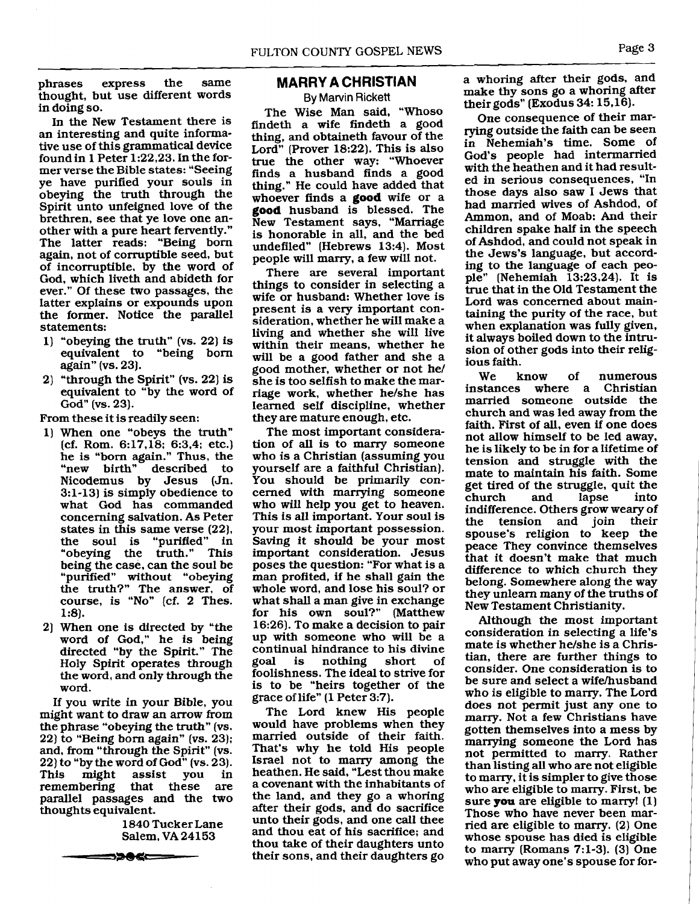phrases express the same thought, but use different words in doing so.

In the New Testament there is an interesting and quite informative use of this grammatical device foundin 1 Peter 1:22,23. In the former verse the Bible states: "Seeing ye have purified your souls in obeying the truth through the Spirit unto unfeigned love of the brethren, see that ye love one another with a pure heart fervently." The latter reads: "Being born again, not of corruptible seed, but of incorruptible, by the word of God, which liveth and abideth for ever." Of these two passages, the latter explains or expounds upon the former. Notice the parallel statements:

- 1) "obeying the truth" (vs. 22) is equivalent to "being born again" (vs. 23).
- 2) "through the Spirit" (vs. 22) is equivalent to "by the word of God" (vs. 23).

From these it is readily seen:

- 1) When one "obeys the truth" (cf. Rom. 6:17,18; 6:3,4; etc.) he is "born again." Thus, the described to Nicodemus by Jesus (Jn. 3:l-13) is simply obedience to what God has commanded concerning salvation. As Peter states in this same verse  $(22)$ , the soul is "purified" in "obeying the truth." This being the case, can the soul be "purified" without "obeying the truth?" The answer, of course, is "No" (cf, 2 Thes.  $1:8$ .
- 2) When one is directed by "the word of God," he is being directed "by the Spirit." The Holy Spirit operates through the word, and only through the word.

If you write in your Bible, you might want to draw an arrow from the phrase "obeying the truth" (vs. 22) to "Being born again" (vs. 23); and, from "through the Spirit" (vs. 22) to "by the word of God" (vs. 23).<br>This might assist you in assist you in remembering that these are parallel passages and the two thoughts equivalent. embering that these a<br>allel passages and the tweets ughts equivalent.<br>1840 Tucker Lane Salem, VA 24153

1840 Tucker Lane

## **MARRY A CHRISTIAN**

**By Marvin Rickett** 

The Wise Man said, "Whoso findeth a wife findeth a good thing, and obtaineth favour of the Lord" (Prover 18:22). This is also true the other way: "Whoever finds a husband finds a good thing." He could have added that whoever finds a **good** wife or a **good** husband is blessed. The New Testament says, "Marriage is honorable in all, and the bed undefiled" (Hebrews 13:4). Most people will marry, a few will not.

There are several important things to consider in selecting a wife or husband: Whether love is present is a very important consideration, whether he will make a living and whether she will live within their means, whether he will be a good father and she a good mother, whether or not he/ she is too selfish to make the marriage work, whether he/she has learned self discipline, whether they are mature enough, etc.

The most important consideration of all is to marry someone who is a Christian (assuming you yourself are a faithful Christian). You should be primarily concerned with marrying someone who will help you get to heaven. This is all important. Your soul is your most important possession. Saving it should be your most important consideration. Jesus poses the question: "For what is a man profited, if he shall gain the whole word, and lose his soul? or what shall a man give in exchange for his own soul?" (Matthew 16:26). To make a decision to pair up with someone who will be a continual hindrance to his divine<br>goal is nothing short of is nothing short of foolishness. The ideal to strive for is to be "heirs together of the grace of life" (1 Peter 3:7).

The Lord knew His people would have problems when they married outside of their faith. That's why he told His people Israel not to marry among the heathen. He said, "Lest thou make a covenant with the inhabitants of the land, and they go a whoring after their gods, and do sacrifice unto their gods, and one call thee and thou eat of his sacrifice; and thou take of their daughters unto their sons, and their daughters go

a whoring after their gods, and make thy sons go a whoring after their gods" (Exodus 34: 15.16).

One consequence of their marrying outside the faith can be seen in Nehemiah's time. Some of God's people had intermarried with the heathen and it had resulted in serious consequences. "In those days also saw I Jews that had married wives of Ashdod, of Ammon, and of Moab: And their children spake half in the speech of Ashdod, and could not speak in the Jews's language, but according to the language of each people" (Nehemiah  $13:23,24$ ). It is true that in the Old Testament the Lord was concerned about maintaining the purity of the race, but when explanation was fully given, it always boiled down to the intrusion of other gods into their religious faith.

We know of numerous<br>instances where a Christian where a Christian married someone outside the church and was led away from the faith. First of all, even if one does not allow himself to be led away, he is likely to be in for a lifetime of tension and struggle with the mate to maintain his faith. Some get tired of the struggle, quit the<br>church and lapse into lapse indifference. Others grow weary of<br>the tension and join their the tension spouse's religion to keep the peace They convince themselves that it doesn't make that much difference to which church they belong. Somewhere along the way they unlearn many of the truths of New Testament Christianity.

Although the most important consideration in selecting a life's mate is whether he/she is a Christian, there are further things to consider. One consideration is to be sure and select a wifehusband who is eligible to marry. The Lord does not permit just any one to marry. Not a few Christians have gotten themselves into a mess by marrying someone the Lord has not permitted to marry. Rather than listing all who are not eligible to marry, it is simpler to give those who are eligible to marry. First, be sure **you** are eligible to marry! (1) Those who have never been married are eligible to **marry.** (2) One whose spouse has died is eligible to marry (Romans 7:l-3). (3) One who put away one's spouse for for